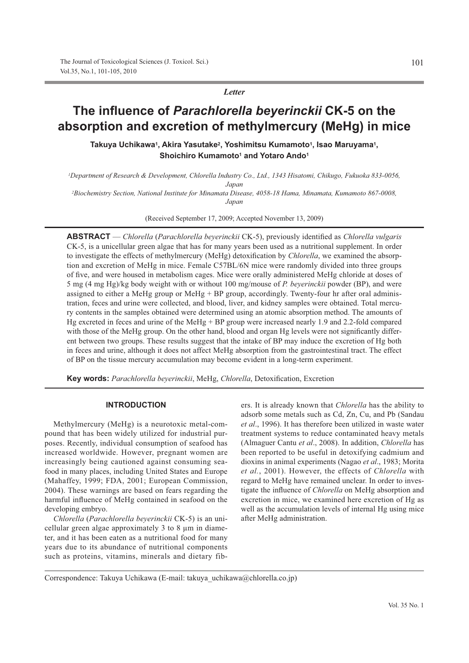*Letter*

# **The influence of Parachlorella beyerinckii CK-5 on the** absorption and excretion of methylmercury (MeHg) in mice

Takuya Uchikawa<sup>1</sup>, Akira Yasutake<sup>2</sup>, Yoshimitsu Kumamoto<sup>1</sup>, Isao Maruyama<sup>1</sup>, **Shoichiro Kumamoto<sup>1</sup> and Yotaro Ando<sup>1</sup>** 

*1Department of Research & Development, Chlorella Industry Co., Ltd., 1343 Hisatomi, Chikugo, Fukuoka 833-0056, Japan*

*2Biochemistry Section, National Institute for Minamata Disease, 4058-18 Hama, Minamata, Kumamoto 867-0008, Japan*

(Received September 17, 2009; Accepted November 13, 2009)

ABSTRACT — *Chlorella* (*Parachlorella beyerinckii* CK-5), previously identified as *Chlorella vulgaris* CK-5, is a unicellular green algae that has for many years been used as a nutritional supplement. In order to investigate the effects of methylmercury (MeHg) detoxification by *Chlorella*, we examined the absorption and excretion of MeHg in mice. Female C57BL/6N mice were randomly divided into three groups of five, and were housed in metabolism cages. Mice were orally administered MeHg chloride at doses of 5 mg (4 mg Hg)/kg body weight with or without 100 mg/mouse of *P. beyerinckii* powder (BP), and were assigned to either a MeHg group or MeHg + BP group, accordingly. Twenty-four hr after oral administration, feces and urine were collected, and blood, liver, and kidney samples were obtained. Total mercury contents in the samples obtained were determined using an atomic absorption method. The amounts of Hg excreted in feces and urine of the MeHg + BP group were increased nearly 1.9 and 2.2-fold compared with those of the MeHg group. On the other hand, blood and organ Hg levels were not significantly different between two groups. These results suggest that the intake of BP may induce the excretion of Hg both in feces and urine, although it does not affect MeHg absorption from the gastrointestinal tract. The effect of BP on the tissue mercury accumulation may become evident in a long-term experiment.

Key words: Parachlorella beyerinckii, MeHg, *Chlorella*, Detoxification, Excretion

# **INTRODUCTION**

Methylmercury (MeHg) is a neurotoxic metal-compound that has been widely utilized for industrial purposes. Recently, individual consumption of seafood has increased worldwide. However, pregnant women are increasingly being cautioned against consuming seafood in many places, including United States and Europe (Mahaffey, 1999; FDA, 2001; European Commission, 2004). These warnings are based on fears regarding the harmful influence of MeHg contained in seafood on the developing embryo.

*Chlorella* (*Parachlorella beyerinckii* CK-5) is an unicellular green algae approximately 3 to 8 μm in diameter, and it has been eaten as a nutritional food for many years due to its abundance of nutritional components such as proteins, vitamins, minerals and dietary fibers. It is already known that *Chlorella* has the ability to adsorb some metals such as Cd, Zn, Cu, and Pb (Sandau *et al*., 1996). It has therefore been utilized in waste water treatment systems to reduce contaminated heavy metals (Almaguer Cantu *et al*., 2008). In addition, *Chlorella* has been reported to be useful in detoxifying cadmium and dioxins in animal experiments (Nagao *et al*., 1983; Morita *et al.*, 2001). However, the effects of *Chlorella* with regard to MeHg have remained unclear. In order to investigate the influence of *Chlorella* on MeHg absorption and excretion in mice, we examined here excretion of Hg as well as the accumulation levels of internal Hg using mice after MeHg administration.

Correspondence: Takuya Uchikawa (E-mail: takuya uchikawa@chlorella.co.jp)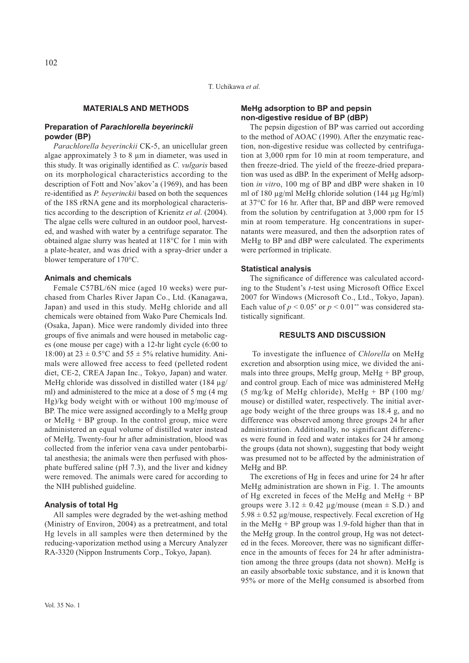# **MATERIALS AND METHODS**

# **Preparation of Parachlorella beyerinckii** powder (BP)

*Parachlorella beyerinckii* CK-5, an unicellular green algae approximately 3 to 8 μm in diameter, was used in this study. It was originally identified as C. vulgaris based on its morphological characteristics according to the description of Fott and Nov'akov'a (1969), and has been re-identified as *P. beyerinckii* based on both the sequences of the 18S rRNA gene and its morphological characteristics according to the description of Krienitz *et al*. (2004). The algae cells were cultured in an outdoor pool, harvested, and washed with water by a centrifuge separator. The obtained algae slurry was heated at 118°C for 1 min with a plate-heater, and was dried with a spray-drier under a blower temperature of 170°C.

## **Animals and chemicals**

Female C57BL/6N mice (aged 10 weeks) were purchased from Charles River Japan Co., Ltd. (Kanagawa, Japan) and used in this study. MeHg chloride and all chemicals were obtained from Wako Pure Chemicals Ind. (Osaka, Japan). Mice were randomly divided into three groups of five animals and were housed in metabolic cages (one mouse per cage) with a 12-hr light cycle (6:00 to 18:00) at  $23 \pm 0.5$ °C and  $55 \pm 5$ % relative humidity. Animals were allowed free access to feed (pelleted rodent diet, CE-2, CREA Japan Inc., Tokyo, Japan) and water. MeHg chloride was dissolved in distilled water (184 μg/ ml) and administered to the mice at a dose of 5 mg (4 mg Hg)/kg body weight with or without 100 mg/mouse of BP. The mice were assigned accordingly to a MeHg group or MeHg  $+$  BP group. In the control group, mice were administered an equal volume of distilled water instead of MeHg. Twenty-four hr after administration, blood was collected from the inferior vena cava under pentobarbital anesthesia; the animals were then perfused with phosphate buffered saline (pH 7.3), and the liver and kidney were removed. The animals were cared for according to the NIH published guideline.

### **Analysis of total Hq**

All samples were degraded by the wet-ashing method (Ministry of Environ, 2004) as a pretreatment, and total Hg levels in all samples were then determined by the reducing-vaporization method using a Mercury Analyzer RA-3320 (Nippon Instruments Corp., Tokyo, Japan).

#### Vol. 35 No. 1

# **MeHq adsorption to BP and pepsin non-digestive residue of BP (dBP)**

The pepsin digestion of BP was carried out according to the method of AOAC (1990). After the enzymatic reaction, non-digestive residue was collected by centrifugation at 3,000 rpm for 10 min at room temperature, and then freeze-dried. The yield of the freeze-dried preparation was used as dBP. In the experiment of MeHg adsorption *in vitr*o, 100 mg of BP and dBP were shaken in 10 ml of 180 μg/ml MeHg chloride solution (144 μg Hg/ml) at 37°C for 16 hr. After that, BP and dBP were removed from the solution by centrifugation at 3,000 rpm for 15 min at room temperature. Hg concentrations in supernatants were measured, and then the adsorption rates of MeHg to BP and dBP were calculated. The experiments were performed in triplicate.

#### **Statistical analysis**

The significance of difference was calculated according to the Student's *t*-test using Microsoft Office Excel 2007 for Windows (Microsoft Co., Ltd., Tokyo, Japan). Each value of  $p < 0.05^*$  or  $p < 0.01^{**}$  was considered statistically significant.

## **RESULTS AND DISCUSSION**

 To investigate the influence of *Chlorella* on MeHg excretion and absorption using mice, we divided the animals into three groups, MeHg group, MeHg  $+$  BP group, and control group. Each of mice was administered MeHg (5 mg/kg of MeHg chloride), MeHg + BP (100 mg/ mouse) or distilled water, respectively. The initial average body weight of the three groups was 18.4 g, and no difference was observed among three groups 24 hr after administration. Additionally, no significant differences were found in feed and water intakes for 24 hr among the groups (data not shown), suggesting that body weight was presumed not to be affected by the administration of MeHg and BP.

The excretions of Hg in feces and urine for 24 hr after MeHg administration are shown in Fig. 1. The amounts of Hg excreted in feces of the MeHg and MeHg + BP groups were  $3.12 \pm 0.42$  µg/mouse (mean  $\pm$  S.D.) and  $5.98 \pm 0.52$  μg/mouse, respectively. Fecal excretion of Hg in the MeHg  $+$  BP group was 1.9-fold higher than that in the MeHg group. In the control group, Hg was not detected in the feces. Moreover, there was no significant difference in the amounts of feces for 24 hr after administration among the three groups (data not shown). MeHg is an easily absorbable toxic substance, and it is known that 95% or more of the MeHg consumed is absorbed from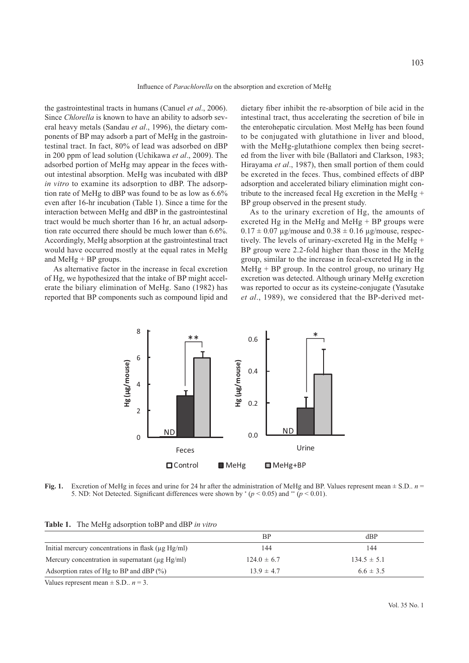the gastrointestinal tracts in humans (Canuel *et al*., 2006). Since *Chlorella* is known to have an ability to adsorb several heavy metals (Sandau *et al*., 1996), the dietary components of BP may adsorb a part of MeHg in the gastrointestinal tract. In fact, 80% of lead was adsorbed on dBP in 200 ppm of lead solution (Uchikawa *et al*., 2009). The adsorbed portion of MeHg may appear in the feces without intestinal absorption. MeHg was incubated with dBP *in vitro* to examine its adsorption to dBP. The adsorption rate of MeHg to dBP was found to be as low as 6.6% even after 16-hr incubation (Table 1). Since a time for the interaction between MeHg and dBP in the gastrointestinal tract would be much shorter than 16 hr, an actual adsorption rate occurred there should be much lower than 6.6%. Accordingly, MeHg absorption at the gastrointestinal tract would have occurred mostly at the equal rates in MeHg and MeHg + BP groups.

As alternative factor in the increase in fecal excretion of Hg, we hypothesized that the intake of BP might accelerate the biliary elimination of MeHg. Sano (1982) has reported that BP components such as compound lipid and

dietary fiber inhibit the re-absorption of bile acid in the intestinal tract, thus accelerating the secretion of bile in the enterohepatic circulation. Most MeHg has been found to be conjugated with glutathione in liver and blood, with the MeHg-glutathione complex then being secreted from the liver with bile (Ballatori and Clarkson, 1983; Hirayama *et al*., 1987), then small portion of them could be excreted in the feces. Thus, combined effects of dBP adsorption and accelerated biliary elimination might contribute to the increased fecal Hg excretion in the MeHg + BP group observed in the present study.

As to the urinary excretion of Hg, the amounts of excreted Hg in the MeHg and MeHg + BP groups were  $0.17 \pm 0.07$  μg/mouse and  $0.38 \pm 0.16$  μg/mouse, respectively. The levels of urinary-excreted Hg in the MeHg + BP group were 2.2-fold higher than those in the MeHg group, similar to the increase in fecal-excreted Hg in the MeHg  $+$  BP group. In the control group, no urinary Hg excretion was detected. Although urinary MeHg excretion was reported to occur as its cysteine-conjugate (Yasutake *et al*., 1989), we considered that the BP-derived met-



**Fig. 1.** Excretion of MeHg in feces and urine for 24 hr after the administration of MeHg and BP. Values represent mean  $\pm$  S.D.,  $n =$ 5. ND: Not Detected. Significant differences were shown by  $*(p \le 0.05)$  and \*\* ( $p \le 0.01$ ).

| Table 1. The MeHg adsorption toBP and dBP in vitro |
|----------------------------------------------------|
|                                                    |

|                                                         | <b>BP</b>       | dBP             |
|---------------------------------------------------------|-----------------|-----------------|
| Initial mercury concentrations in flask $(\mu g Hg/ml)$ | 144             | 144             |
| Mercury concentration in supernatant $(\mu g Hg/ml)$    | $124.0 \pm 6.7$ | $134.5 \pm 5.1$ |
| Adsorption rates of Hg to BP and dBP $(\% )$            | $13.9 \pm 4.7$  | $6.6 \pm 3.5$   |

Values represent mean  $\pm$  S.D.. *n* = 3.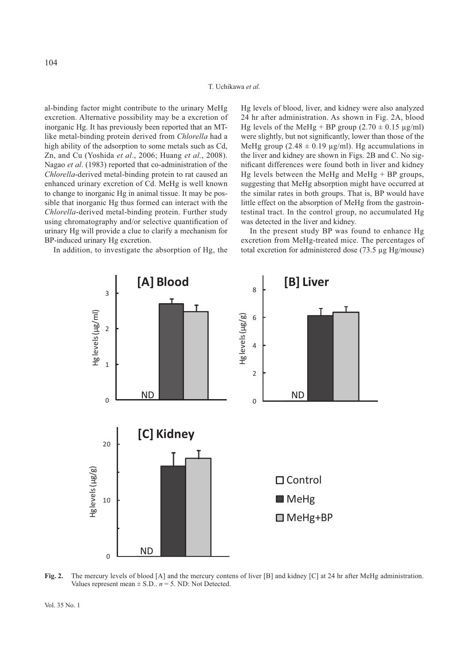al-binding factor might contribute to the urinary MeHg excretion. Alternative possibility may be a excretion of inorganic Hg. It has previously been reported that an MTlike metal-binding protein derived from *Chlorella* had a high ability of the adsorption to some metals such as Cd, Zn, and Cu (Yoshida *et al*., 2006; Huang *et al.*, 2008). Nagao *et al*. (1983) reported that co-administration of the *Chlorella*-derived metal-binding protein to rat caused an enhanced urinary excretion of Cd. MeHg is well known to change to inorganic Hg in animal tissue. It may be possible that inorganic Hg thus formed can interact with the *Chlorella*-derived metal-binding protein. Further study using chromatography and/or selective quantification of urinary Hg will provide a clue to clarify a mechanism for BP-induced urinary Hg excretion.

In addition, to investigate the absorption of Hg, the

Hg levels of blood, liver, and kidney were also analyzed 24 hr after administration. As shown in Fig. 2A, blood Hg levels of the MeHg + BP group  $(2.70 \pm 0.15 \text{ µg/ml})$ were slightly, but not significantly, lower than those of the MeHg group  $(2.48 \pm 0.19 \text{ µg/ml})$ . Hg accumulations in the liver and kidney are shown in Figs. 2B and C. No significant differences were found both in liver and kidney Hg levels between the MeHg and MeHg + BP groups, suggesting that MeHg absorption might have occurred at the similar rates in both groups. That is, BP would have little effect on the absorption of MeHg from the gastrointestinal tract. In the control group, no accumulated Hg was detected in the liver and kidney.

In the present study BP was found to enhance Hg excretion from MeHg-treated mice. The percentages of total excretion for administered dose (73.5 μg Hg/mouse)



**Fig. 2.** The mercury levels of blood [A] and the mercury contens of liver [B] and kidney [C] at 24 hr after MeHg administration. Values represent mean  $\pm$  S.D..  $n = 5$ . ND: Not Detected.

104